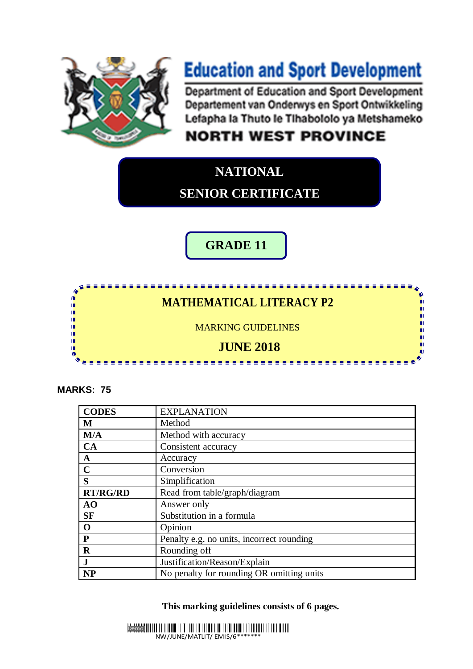

# **Education and Sport Development**

**Department of Education and Sport Development** Departement van Onderwys en Sport Ontwikkeling Lefapha la Thuto le Tihabololo ya Metshameko

## **NORTH WEST PROVINCE**

#### ī **NATIONAL SENIOR CERTIFICATE**

**GRADE 11**

## **MATHEMATICAL LITERACY P2**

----------

ù.

Ã,

ш

0)

Ù,

ш

n.

MARKING GUIDELINES

### **JUNE 2018**

**All All A** 

. . . . . . .

**MARKS: 75**

IĖ,

ı.

ή.

ή.

ï,

ıń ıÈ

IĖ,

| <b>CODES</b>    | <b>EXPLANATION</b>                        |
|-----------------|-------------------------------------------|
| M               | Method                                    |
| M/A             | Method with accuracy                      |
| CA              | Consistent accuracy                       |
| $\mathbf A$     | Accuracy                                  |
| $\mathbf C$     | Conversion                                |
| S               | Simplification                            |
| <b>RT/RG/RD</b> | Read from table/graph/diagram             |
| AO              | Answer only                               |
| <b>SF</b>       | Substitution in a formula                 |
| $\mathbf 0$     | Opinion                                   |
| ${\bf P}$       | Penalty e.g. no units, incorrect rounding |
| $\mathbf R$     | Rounding off                              |
| $\mathbf J$     | Justification/Reason/Explain              |
| <b>NP</b>       | No penalty for rounding OR omitting units |

**This marking guidelines consists of 6 pages.**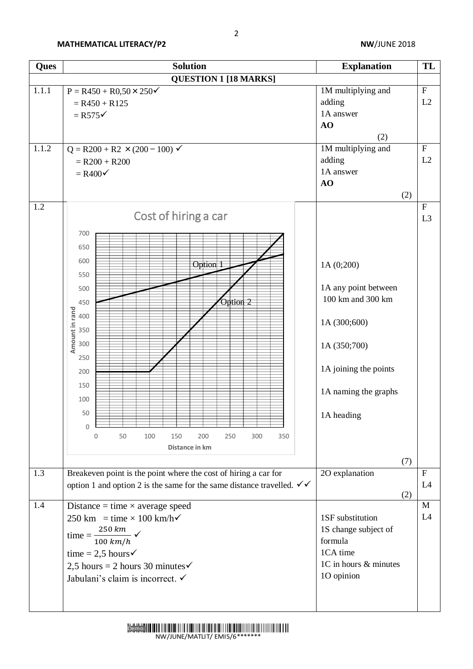| Ques              | <b>Solution</b>                                                                                                                                                                                                                                                                                                                                                                                                                                                                                                                                                               | <b>Explanation</b>                                                                                                                                                                                                                            | TL                                                           |
|-------------------|-------------------------------------------------------------------------------------------------------------------------------------------------------------------------------------------------------------------------------------------------------------------------------------------------------------------------------------------------------------------------------------------------------------------------------------------------------------------------------------------------------------------------------------------------------------------------------|-----------------------------------------------------------------------------------------------------------------------------------------------------------------------------------------------------------------------------------------------|--------------------------------------------------------------|
|                   | <b>QUESTION 1 [18 MARKS]</b>                                                                                                                                                                                                                                                                                                                                                                                                                                                                                                                                                  |                                                                                                                                                                                                                                               |                                                              |
| 1.1.1             | $P = R450 + R0,50 \times 250$<br>$= R450 + R125$<br>$=$ R575 $\checkmark$                                                                                                                                                                                                                                                                                                                                                                                                                                                                                                     | 1M multiplying and<br>adding<br>1A answer<br>AO                                                                                                                                                                                               | $\overline{\mathrm{F}}$<br>L2                                |
| 1.1.2             | $Q = R200 + R2 \times (200 - 100) \checkmark$<br>$= R200 + R200$<br>$=$ R400 $\checkmark$                                                                                                                                                                                                                                                                                                                                                                                                                                                                                     | (2)<br>1M multiplying and<br>adding<br>1A answer<br>AO<br>(2)                                                                                                                                                                                 | $\overline{F}$<br>L2                                         |
| 1.2<br>1.3<br>1.4 | Cost of hiring a car<br>700<br>650<br>600<br>Option 1<br>550<br>500<br>Option 2<br>450<br>Amount in rand<br>400<br>350<br>300<br>250<br>200<br>150<br>100<br>50<br>$\Omega$<br>50<br>100<br>150<br>200<br>250<br>300<br>350<br>0<br>Distance in km<br>Breakeven point is the point where the cost of hiring a car for<br>option 1 and option 2 is the same for the same distance travelled. $\checkmark\checkmark$<br>Distance = time $\times$ average speed<br>250 km = time $\times$ 100 km/h $\checkmark$<br>time = $\frac{250 \text{ km}}{100 \text{ km/h}}$ $\checkmark$ | 1A (0;200)<br>1A any point between<br>100 km and 300 km<br>1A (300;600)<br>1A (350;700)<br>1A joining the points<br>1A naming the graphs<br>1A heading<br>(7)<br>2O explanation<br>(2)<br>1SF substitution<br>1S change subject of<br>formula | ${\bf F}$<br>L <sub>3</sub><br>$\mathbf{F}$<br>L4<br>M<br>L4 |
|                   | time = 2,5 hours $\checkmark$<br>2,5 hours = 2 hours 30 minutes $\checkmark$<br>Jabulani's claim is incorrect. ✓                                                                                                                                                                                                                                                                                                                                                                                                                                                              | 1CA time<br>1C in hours & minutes<br>10 opinion                                                                                                                                                                                               |                                                              |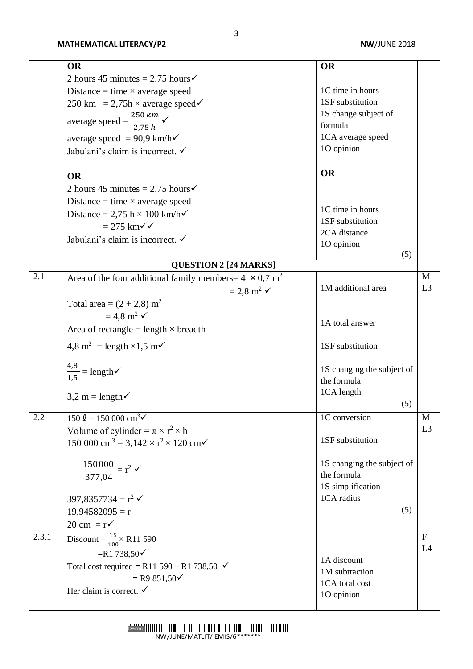|       | <b>OR</b>                                                                            | <b>OR</b>                  |                |
|-------|--------------------------------------------------------------------------------------|----------------------------|----------------|
|       | 2 hours 45 minutes = 2,75 hours $\checkmark$                                         |                            |                |
|       |                                                                                      | 1C time in hours           |                |
|       | Distance = time $\times$ average speed                                               | 1SF substitution           |                |
|       | 250 km = 2,75h $\times$ average speed $\checkmark$                                   | 1S change subject of       |                |
|       | average speed = $\frac{250 \text{ km}}{2.75 \text{ h}}$ $\checkmark$                 | formula                    |                |
|       |                                                                                      | 1CA average speed          |                |
|       | average speed = $90.9 \text{ km/h}$                                                  | 1O opinion                 |                |
|       | Jabulani's claim is incorrect. ✓                                                     |                            |                |
|       | <b>OR</b>                                                                            | <b>OR</b>                  |                |
|       | 2 hours 45 minutes = 2,75 hours $\checkmark$                                         |                            |                |
|       | Distance = time $\times$ average speed                                               |                            |                |
|       |                                                                                      | 1C time in hours           |                |
|       | Distance = 2,75 h $\times$ 100 km/h $\checkmark$                                     | 1SF substitution           |                |
|       | $= 275$ km $\checkmark$                                                              | 2CA distance               |                |
|       | Jabulani's claim is incorrect. ✓                                                     | 1O opinion                 |                |
|       |                                                                                      | (5)                        |                |
|       | <b>QUESTION 2 [24 MARKS]</b>                                                         |                            |                |
| 2.1   | Area of the four additional family members = $4 \times 0.7$ m <sup>2</sup>           |                            | $\mathbf{M}$   |
|       | $= 2.8$ m <sup>2</sup> $\checkmark$                                                  | 1M additional area         | L <sub>3</sub> |
|       | Total area = $(2 + 2.8)$ m <sup>2</sup>                                              |                            |                |
|       | $= 4.8$ m <sup>2</sup> $\checkmark$                                                  |                            |                |
|       | Area of rectangle = length $\times$ breadth                                          | 1A total answer            |                |
|       | $4.8 \text{ m}^2$ = length ×1,5 m $\checkmark$                                       | 1SF substitution           |                |
|       |                                                                                      |                            |                |
|       | $\frac{4,8}{1,5}$ = length $\checkmark$                                              | 1S changing the subject of |                |
|       |                                                                                      | the formula                |                |
|       | $3,2 \text{ m} = \text{length}$                                                      | 1CA length                 |                |
|       |                                                                                      | (5)                        |                |
| 2.2   | $150 \text{ }\Omega = 150\,000 \text{ cm}^3\text{V}$                                 | 1C conversion              | M              |
|       | Volume of cylinder = $\pi \times r^2 \times h$                                       |                            | L <sub>3</sub> |
|       | 150 000 cm <sup>3</sup> = 3,142 $\times$ r <sup>2</sup> $\times$ 120 cm $\checkmark$ | 1SF substitution           |                |
|       |                                                                                      | 1S changing the subject of |                |
|       | $\frac{150000}{377,04} = r^2$                                                        | the formula                |                |
|       |                                                                                      | 1S simplification          |                |
|       | $397,8357734 = r^2$                                                                  | 1CA radius                 |                |
|       | $19,94582095 = r$                                                                    | (5)                        |                |
|       | $20 \text{ cm} = \text{r}$                                                           |                            |                |
| 2.3.1 |                                                                                      |                            | $\mathbf{F}$   |
|       | Discount = $\frac{15}{100}$ \ R11 590                                                |                            | L4             |
|       | $=$ R1 738,50 $\checkmark$                                                           | 1A discount                |                |
|       | Total cost required = R11 590 – R1 738,50 $\checkmark$                               | 1M subtraction             |                |
|       | $=$ R9 851,50 $\checkmark$                                                           | 1CA total cost             |                |
|       | Her claim is correct. $\checkmark$                                                   | 1O opinion                 |                |
|       |                                                                                      |                            |                |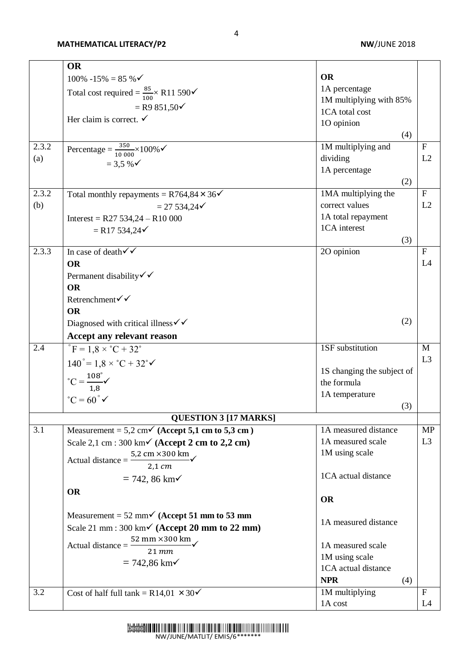|       | <b>OR</b>                                                                           |                            |                           |
|-------|-------------------------------------------------------------------------------------|----------------------------|---------------------------|
|       | $100\% -15\% = 85\%$                                                                | <b>OR</b>                  |                           |
|       | Total cost required = $\frac{85}{100}$ \ R11 590 $\checkmark$                       | 1A percentage              |                           |
|       |                                                                                     | 1M multiplying with 85%    |                           |
|       | $=$ R9 851,50 $\checkmark$                                                          | 1CA total cost             |                           |
|       | Her claim is correct. $\checkmark$                                                  | 1O opinion                 |                           |
|       |                                                                                     | (4)                        |                           |
| 2.3.2 | Percentage = $\frac{350}{10,000} \times 100\%$                                      | 1M multiplying and         | $\mathbf{F}$              |
| (a)   | $= 3.5 %$                                                                           | dividing                   | L2                        |
|       |                                                                                     | 1A percentage              |                           |
|       |                                                                                     | (2)                        |                           |
| 2.3.2 | Total monthly repayments = $R764,84 \times 36\checkmark$                            | 1MA multiplying the        | ${\bf F}$                 |
| (b)   | $= 27534,24 \checkmark$                                                             | correct values             | L2                        |
|       | Interest = R27 534,24 - R10 000                                                     | 1A total repayment         |                           |
|       | $=$ R17 534,24 $\checkmark$                                                         | 1CA interest               |                           |
|       |                                                                                     | (3)                        |                           |
| 2.3.3 | In case of death $\sqrt{\sqrt{ }}$                                                  | 2O opinion                 | $\mathbf{F}$              |
|       | <b>OR</b>                                                                           |                            | L4                        |
|       | Permanent disability $\checkmark$                                                   |                            |                           |
|       | <b>OR</b>                                                                           |                            |                           |
|       | Retrenchment√√                                                                      |                            |                           |
|       | <b>OR</b>                                                                           |                            |                           |
|       | Diagnosed with critical illness $\checkmark$                                        | (2)                        |                           |
|       | Accept any relevant reason                                                          |                            |                           |
| 2.4   | $^{\circ}$ F = 1,8 × $^{\circ}$ C + 32 $^{\circ}$                                   | 1SF substitution           | M                         |
|       | $140^{\circ} = 1.8 \times \degree C + 32^{\circ}$                                   |                            | L <sub>3</sub>            |
|       |                                                                                     | 1S changing the subject of |                           |
|       |                                                                                     | the formula                |                           |
|       | $^{\circ}C = \frac{108^{\circ}}{1,8}$<br>$^{\circ}C = 60^{\circ}$ $\checkmark$      | 1A temperature             |                           |
|       |                                                                                     | (3)                        |                           |
|       | <b>QUESTION 3 [17 MARKS]</b>                                                        |                            |                           |
| 3.1   | Measurement = $5.2$ cm <sup><math>\checkmark</math></sup> (Accept 5,1 cm to 5,3 cm) | 1A measured distance       | <b>MP</b>                 |
|       | Scale 2,1 cm : 300 km $\checkmark$ (Accept 2 cm to 2,2 cm)                          | 1A measured scale          | L <sub>3</sub>            |
|       | 5,2 cm $\times$ 300 km<br>Actual distance =                                         | 1M using scale             |                           |
|       | $2,1$ $cm$                                                                          |                            |                           |
|       | $= 742, 86$ km $\checkmark$                                                         | 1CA actual distance        |                           |
|       | <b>OR</b>                                                                           |                            |                           |
|       |                                                                                     | <b>OR</b>                  |                           |
|       | Measurement = 52 mm $\checkmark$ (Accept 51 mm to 53 mm                             | 1A measured distance       |                           |
|       | Scale 21 mm : 300 km $\checkmark$ (Accept 20 mm to 22 mm)                           |                            |                           |
|       | 52 mm $\times$ 300 km<br>Actual distance $=$                                        | 1A measured scale          |                           |
|       | $21$ mm                                                                             | 1M using scale             |                           |
|       | $= 742,86$ km $\checkmark$                                                          | 1CA actual distance        |                           |
|       |                                                                                     | <b>NPR</b><br>(4)          |                           |
| 3.2   | Cost of half full tank = R14,01 $\times$ 30 $\checkmark$                            | 1M multiplying             | $\boldsymbol{\mathrm{F}}$ |
|       |                                                                                     | 1A cost                    | L4                        |
|       |                                                                                     |                            |                           |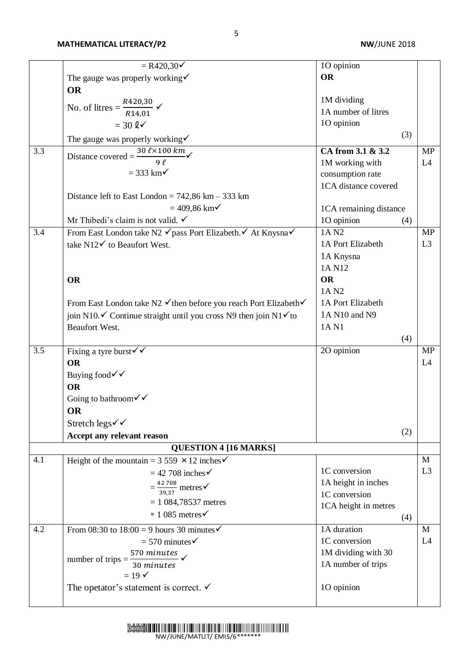|     | $= R420,30\checkmark$                                                                    | 10 opinion                         |                |
|-----|------------------------------------------------------------------------------------------|------------------------------------|----------------|
|     |                                                                                          | <b>OR</b>                          |                |
|     | The gauge was properly working $\checkmark$                                              |                                    |                |
|     | <b>OR</b>                                                                                |                                    |                |
|     | No. of litres = $\frac{R420,30}{R14,01}$ $\checkmark$                                    | 1M dividing<br>1A number of litres |                |
|     |                                                                                          |                                    |                |
|     | $=$ 30 l $\checkmark$                                                                    | 1O opinion                         |                |
|     | The gauge was properly working $\checkmark$                                              | (3)                                |                |
| 3.3 | Distance covered = $\frac{30 \ell \times 100 km}{\sqrt{ }}$                              | CA from 3.1 & 3.2                  | <b>MP</b>      |
|     | $9\ell$                                                                                  | 1M working with                    | L4             |
|     | $=$ 333 km $\checkmark$                                                                  | consumption rate                   |                |
|     |                                                                                          | 1CA distance covered               |                |
|     | Distance left to East London = $742,86$ km $- 333$ km                                    |                                    |                |
|     | $= 409,86$ km $\checkmark$                                                               | 1CA remaining distance             |                |
|     | Mr Thibedi's claim is not valid. $\checkmark$                                            | 10 opinion<br>(4)                  |                |
| 3.4 | From East London take N2 √ pass Port Elizabeth. ∕ At Knysna√                             | 1A N <sub>2</sub>                  | <b>MP</b>      |
|     | take $N12\checkmark$ to Beaufort West.                                                   | 1A Port Elizabeth                  | L <sub>3</sub> |
|     |                                                                                          | 1A Knysna                          |                |
|     |                                                                                          | 1A N12                             |                |
|     | <b>OR</b>                                                                                | <b>OR</b>                          |                |
|     |                                                                                          | 1A N <sub>2</sub>                  |                |
|     | From East London take N2 √ then before you reach Port Elizabeth√                         | 1A Port Elizabeth                  |                |
|     | join N10. $\checkmark$ Continue straight until you cross N9 then join N1 $\checkmark$ to | 1A N10 and N9                      |                |
|     |                                                                                          | 1A N1                              |                |
|     | Beaufort West.                                                                           |                                    |                |
|     |                                                                                          | (4)                                |                |
| 3.5 | Fixing a tyre burst $\checkmark\checkmark$                                               | 2O opinion                         | <b>MP</b>      |
|     | <b>OR</b>                                                                                |                                    | L4             |
|     | Buying food√√                                                                            |                                    |                |
|     | <b>OR</b>                                                                                |                                    |                |
|     | Going to bathroom $\checkmark$                                                           |                                    |                |
|     | OR                                                                                       |                                    |                |
|     | Stretch legs√√                                                                           |                                    |                |
|     | Accept any relevant reason                                                               | (2)                                |                |
|     | <b>QUESTION 4 [16 MARKS]</b>                                                             |                                    |                |
| 4.1 | Height of the mountain = $3\,559 \times 12$ inches                                       |                                    | M              |
|     | $= 42$ 708 inches $\checkmark$                                                           | 1C conversion                      | L <sub>3</sub> |
|     | $=\frac{42\,708}{39.37}$ metres $\checkmark$                                             | 1A height in inches                |                |
|     |                                                                                          | 1C conversion                      |                |
|     | $= 1084,78537$ metres                                                                    | 1CA height in metres               |                |
|     | $\approx 1085$ metres $\checkmark$                                                       | (4)                                |                |
| 4.2 | From 08:30 to $18:00 = 9$ hours 30 minutes                                               | 1A duration                        | M              |
|     | $=$ 570 minutes $\checkmark$                                                             | 1C conversion                      | L4             |
|     |                                                                                          | 1M dividing with 30                |                |
|     | $\frac{570 \text{ minutes}}{30 \text{ minutes}}$<br>number of trips $=$                  | 1A number of trips                 |                |
|     | $= 19 \checkmark$                                                                        |                                    |                |
|     | The opetator's statement is correct. $\checkmark$                                        | 1O opinion                         |                |
|     |                                                                                          |                                    |                |
|     |                                                                                          |                                    |                |